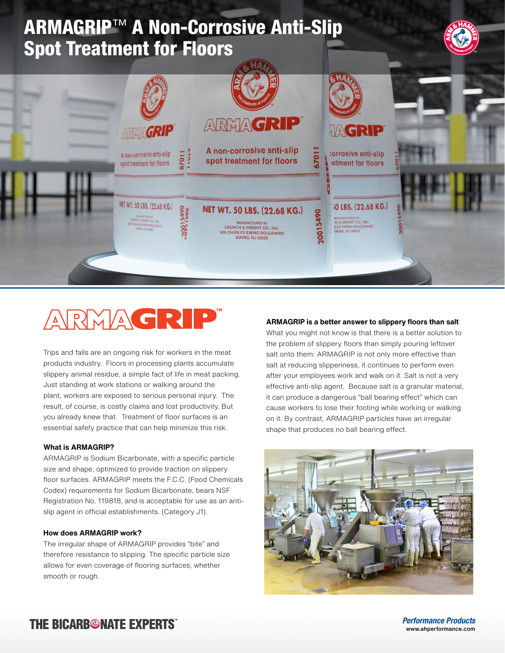

# ARMAGRIP

Trips and falls are an ongoing risk for workers in the meat products industry. Floors in processing plants accumulate slippery animal residue, a simple fact of life in meat packing. Just standing at work stations or walking around the plant, workers are exposed to serious personal injury. The result, of course, is costly claims and lost productivity. But you already knew that. Treatment of floor surfaces is an essential safety practice that can help minimize this risk.

### **What is ARMAGRIP?**

ARMAGRIP is Sodium Bicarbonate, with a specific particle size and shape, optimized to provide traction on slippery floor surfaces. ARMAGRIP meets the F.C.C. (Food Chemicals Codex) requirements for Sodium Bicarbonate, bears NSF Registration No. 119818, and is acceptable for use as an antislip agent in official establishments. (Category J1).

## **How does ARMAGRIP work?**

The irregular shape of ARMAGRIP provides "bite" and therefore resistance to slipping. The specific particle size allows for even coverage of flooring surfaces, whether smooth or rough.

## **ARMAGRIP is a better answer to slippery floors than salt**

What you might not know is that there is a better solution to the problem of slippery floors than simply pouring leftover salt onto them: ARMAGRIP is not only more effective than salt at reducing slipperiness, it continues to perform even after your employees work and walk on it. Salt is not a very effective anti-slip agent. Because salt is a granular material, it can produce a dangerous "ball bearing effect" which can cause workers to lose their footing while working or walking on it. By contrast, ARMAGRIP particles have an irregular shape that produces no ball bearing effect.



## **THE BICARBONATE EXPERTS"**

*Performance Products* www.ahperformance.com